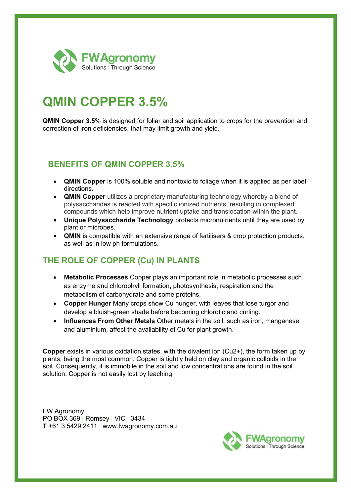

# **QMIN COPPER 3.5%**

**QMIN Copper 3.5%** is designed for foliar and soil application to crops for the prevention and correction of Iron deficiencies, that may limit growth and yield.

### **BENEFITS OF QMIN COPPER 3.5%**

- **QMIN Copper** is 100% soluble and nontoxic to foliage when it is applied as per label directions.
- **QMIN Copper** utilizes a proprietary manufacturing technology whereby a blend of polysaccharides is reacted with specific ionized nutrients, resulting in complexed compounds which help improve nutrient uptake and translocation within the plant.
- **Unique Polysaccharide Technology** protects micronutrients until they are used by plant or microbes.
- **QMIN** is compatible with an extensive range of fertilisers & crop protection products, as well as in low ph formulations.

## **THE ROLE OF COPPER (Cu) IN PLANTS**

- **Metabolic Processes** Copper plays an important role in metabolic processes such as enzyme and chlorophyll formation, photosynthesis, respiration and the metabolism of carbohydrate and some proteins.
- **Copper Hunger** Many crops show Cu hunger, with leaves that lose turgor and develop a bluish-green shade before becoming chlorotic and curling.
- **Influences From Other Metals** Other metals in the soil, such as iron, manganese and aluminium, affect the availability of Cu for plant growth.

**Copper** exists in various oxidation states, with the divalent ion (Cu2+), the form taken up by plants, being the most common. Copper is tightly held on clay and organic colloids in the soil. Consequently, it is immobile in the soil and low concentrations are found in the soil solution. Copper is not easily lost by leaching

FW Agronomy PO BOX 369 | Romsey | VIC | 3434 **T** +61 3 5429 2411 | www.fwagronomy.com.au